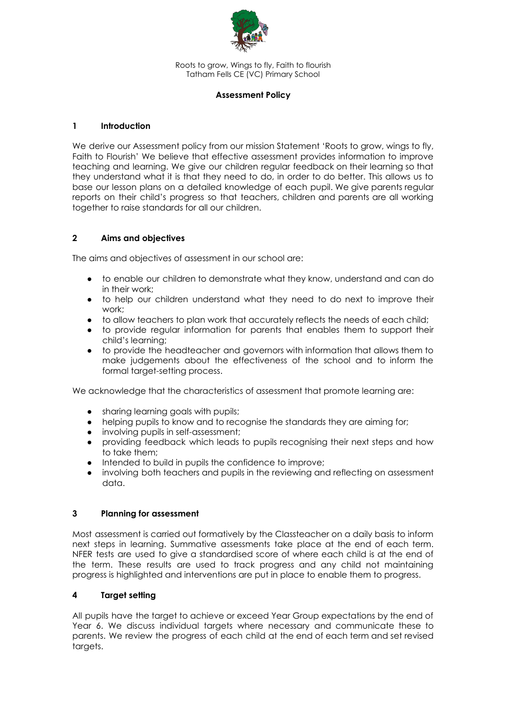

Roots to grow, Wings to fly, Faith to flourish Tatham Fells CE (VC) Primary School

### **Assessment Policy**

## **1 Introduction**

We derive our Assessment policy from our mission Statement 'Roots to grow, wings to fly, Faith to Flourish' We believe that effective assessment provides information to improve teaching and learning. We give our children regular feedback on their learning so that they understand what it is that they need to do, in order to do better. This allows us to base our lesson plans on a detailed knowledge of each pupil. We give parents regular reports on their child's progress so that teachers, children and parents are all working together to raise standards for all our children.

# **2 Aims and objectives**

The aims and objectives of assessment in our school are:

- to enable our children to demonstrate what they know, understand and can do in their work;
- to help our children understand what they need to do next to improve their work;
- to allow teachers to plan work that accurately reflects the needs of each child;
- to provide regular information for parents that enables them to support their child's learning;
- to provide the headteacher and governors with information that allows them to make judgements about the effectiveness of the school and to inform the formal target-setting process.

We acknowledge that the characteristics of assessment that promote learning are:

- sharing learning goals with pupils;
- helping pupils to know and to recognise the standards they are aiming for;
- involving pupils in self-assessment;
- providing feedback which leads to pupils recognising their next steps and how to take them;
- Intended to build in pupils the confidence to improve;
- involving both teachers and pupils in the reviewing and reflecting on assessment data.

### **3 Planning for assessment**

Most assessment is carried out formatively by the Classteacher on a daily basis to inform next steps in learning. Summative assessments take place at the end of each term. NFER tests are used to give a standardised score of where each child is at the end of the term. These results are used to track progress and any child not maintaining progress is highlighted and interventions are put in place to enable them to progress.

# **4 Target setting**

All pupils have the target to achieve or exceed Year Group expectations by the end of Year 6. We discuss individual targets where necessary and communicate these to parents. We review the progress of each child at the end of each term and set revised targets.